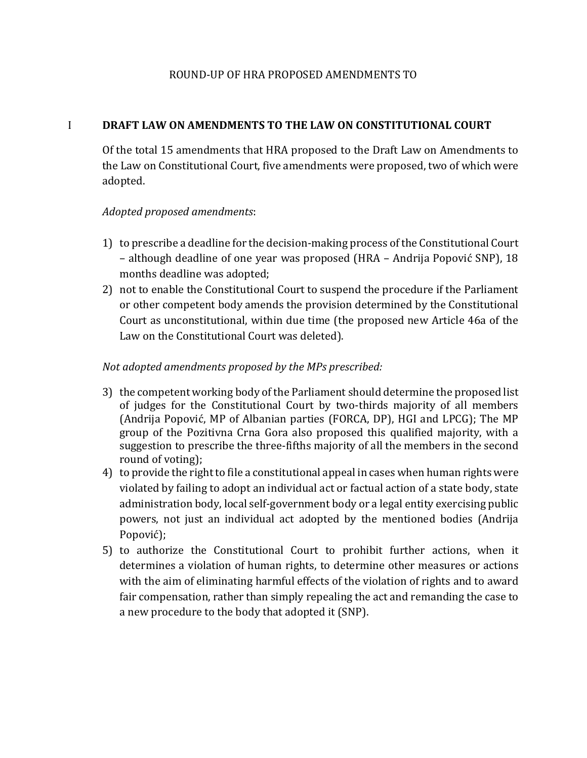#### ROUND-UP OF HRA PROPOSED AMENDMENTS TO

#### I **DRAFT LAW ON AMENDMENTS TO THE LAW ON CONSTITUTIONAL COURT**

Of the total 15 amendments that HRA proposed to the Draft Law on Amendments to the Law on Constitutional Court, five amendments were proposed, two of which were adopted.

## *Adopted proposed amendments*:

- 1) to prescribe a deadline for the decision-making process of the Constitutional Court – although deadline of one year was proposed (HRA – Andrija Popović SNP), 18 months deadline was adopted;
- 2) not to enable the Constitutional Court to suspend the procedure if the Parliament or other competent body amends the provision determined by the Constitutional Court as unconstitutional, within due time (the proposed new Article 46a of the Law on the Constitutional Court was deleted).

## *Not adopted amendments proposed by the MPs prescribed:*

- 3) the competent working body of the Parliament should determine the proposed list of judges for the Constitutional Court by two-thirds majority of all members (Andrija Popović, MP of Albanian parties (FORCA, DP), HGI and LPCG); The MP group of the Pozitivna Crna Gora also proposed this qualified majority, with a suggestion to prescribe the three-fifths majority of all the members in the second round of voting);
- 4) to provide the right to file a constitutional appeal in cases when human rights were violated by failing to adopt an individual act or factual action of a state body, state administration body, local self-government body or a legal entity exercising public powers, not just an individual act adopted by the mentioned bodies (Andrija Popović);
- 5) to authorize the Constitutional Court to prohibit further actions, when it determines a violation of human rights, to determine other measures or actions with the aim of eliminating harmful effects of the violation of rights and to award fair compensation, rather than simply repealing the act and remanding the case to a new procedure to the body that adopted it (SNP).